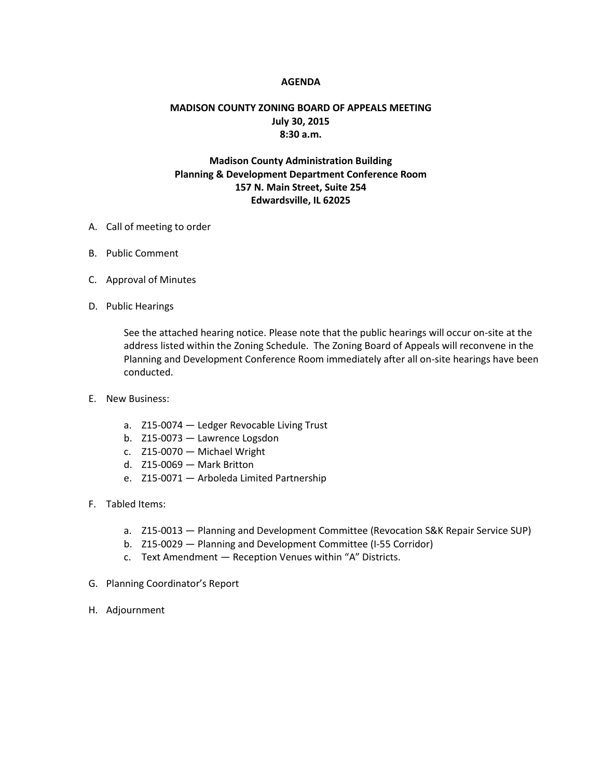## **AGENDA**

## **MADISON COUNTY ZONING BOARD OF APPEALS MEETING July 30, 2015 8:30 a.m.**

## **Madison County Administration Building Planning & Development Department Conference Room 157 N. Main Street, Suite 254 Edwardsville, IL 62025**

- A. Call of meeting to order
- B. Public Comment
- C. Approval of Minutes
- D. Public Hearings

See the attached hearing notice. Please note that the public hearings will occur on-site at the address listed within the Zoning Schedule. The Zoning Board of Appeals will reconvene in the Planning and Development Conference Room immediately after all on-site hearings have been conducted.

- E. New Business:
	- a. Z15-0074 Ledger Revocable Living Trust
	- b. Z15-0073 Lawrence Logsdon
	- c. Z15-0070 Michael Wright
	- d. Z15-0069 Mark Britton
	- e. Z15-0071 Arboleda Limited Partnership
- F. Tabled Items:
	- a. Z15-0013 Planning and Development Committee (Revocation S&K Repair Service SUP)
	- b. Z15-0029 Planning and Development Committee (I-55 Corridor)
	- c. Text Amendment Reception Venues within "A" Districts.
- G. Planning Coordinator's Report
- H. Adjournment